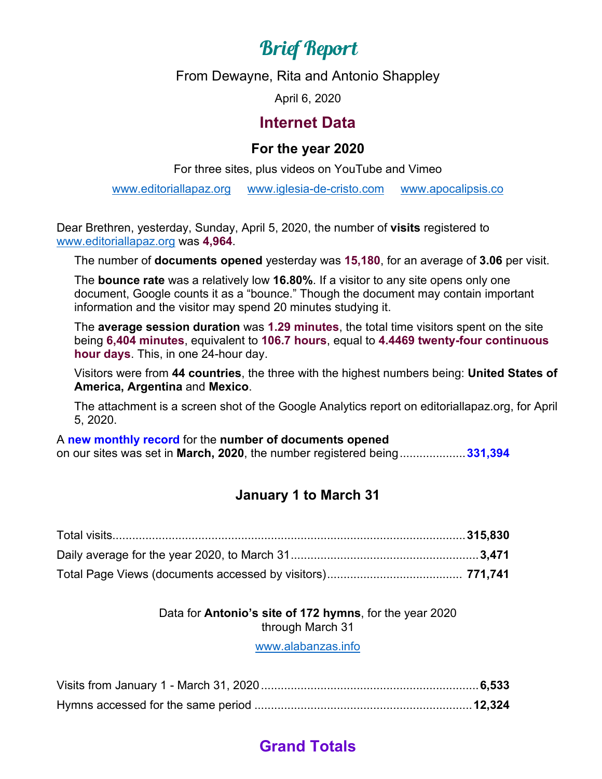# Brief Report

From Dewayne, Rita and Antonio Shappley

April 6, 2020

#### **Internet Data**

#### **For the year 2020**

For three sites, plus videos on YouTube and Vimeo

[www.editoriallapaz.org](http://www.editoriallapaz.org/) [www.iglesia-de-cristo.com](http://www.iglesia-de-cristo.com/) [www.apocalipsis.co](http://www.apocalipsis.co/)

Dear Brethren, yesterday, Sunday, April 5, 2020, the number of **visits** registered to [www.editoriallapaz.org](http://www.editoriallapaz.org/) was **4,964**.

The number of **documents opened** yesterday was **15,180**, for an average of **3.06** per visit.

The **bounce rate** was a relatively low **16.80%**. If a visitor to any site opens only one document, Google counts it as a "bounce." Though the document may contain important information and the visitor may spend 20 minutes studying it.

The **average session duration** was **1.29 minutes**, the total time visitors spent on the site being **6,404 minutes**, equivalent to **106.7 hours**, equal to **4.4469 twenty-four continuous hour days**. This, in one 24-hour day.

Visitors were from **44 countries**, the three with the highest numbers being: **United States of America, Argentina** and **Mexico**.

The attachment is a screen shot of the Google Analytics report on editoriallapaz.org, for April 5, 2020.

A **new monthly record** for the **number of documents opened**  on our sites was set in **March, 2020**, the number registered being....................**331,394**

#### **January 1 to March 31**

#### Data for **Antonio's site of 172 hymns**, for the year 2020 through March 31

[www.alabanzas.info](http://www.alabanzas.info/)

## **Grand Totals**